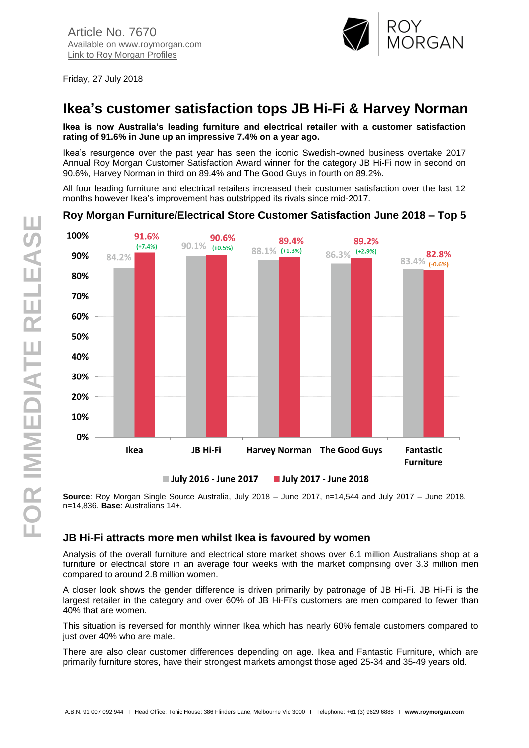

**Fantastic Furniture** 

Friday, 27 July 2018

# **Ikea's customer satisfaction tops JB Hi-Fi & Harvey Norman**

**Ikea is now Australia's leading furniture and electrical retailer with a customer satisfaction rating of 91.6% in June up an impressive 7.4% on a year ago.**

Ikea's resurgence over the past year has seen the iconic Swedish-owned business overtake 2017 Annual Roy Morgan Customer Satisfaction Award winner for the category JB Hi-Fi now in second on 90.6%, Harvey Norman in third on 89.4% and The Good Guys in fourth on 89.2%.

All four leading furniture and electrical retailers increased their customer satisfaction over the last 12 months however Ikea's improvement has outstripped its rivals since mid-2017.

#### 100% 91.6% 90.6% 89.4% 89.2%  $90.1\%$   $(+0.5\%)$  $(+7.4%)$ 88.1% (+1.3%)  $(+2.9%)$  $83.4\%$  (-0.6%) 86.3% 90% 84.2% 80% 70% 60% 50% 40% 30% 20%

## **Roy Morgan Furniture/Electrical Store Customer Satisfaction June 2018 – Top 5**

**Source**: Roy Morgan Single Source Australia, July 2018 – June 2017, n=14,544 and July 2017 – June 2018. n=14,836. **Base**: Australians 14+.

**Harvey Norman** The Good Guys

**July 2017 - June 2018** 

### **JB Hi-Fi attracts more men whilst Ikea is favoured by women**

**JB Hi-Fi** 

July 2016 - June 2017

Analysis of the overall furniture and electrical store market shows over 6.1 million Australians shop at a furniture or electrical store in an average four weeks with the market comprising over 3.3 million men compared to around 2.8 million women.

A closer look shows the gender difference is driven primarily by patronage of JB Hi-Fi. JB Hi-Fi is the largest retailer in the category and over 60% of JB Hi-Fi's customers are men compared to fewer than 40% that are women.

This situation is reversed for monthly winner Ikea which has nearly 60% female customers compared to just over 40% who are male.

There are also clear customer differences depending on age. Ikea and Fantastic Furniture, which are primarily furniture stores, have their strongest markets amongst those aged 25-34 and 35-49 years old.

10%

0%

Ikea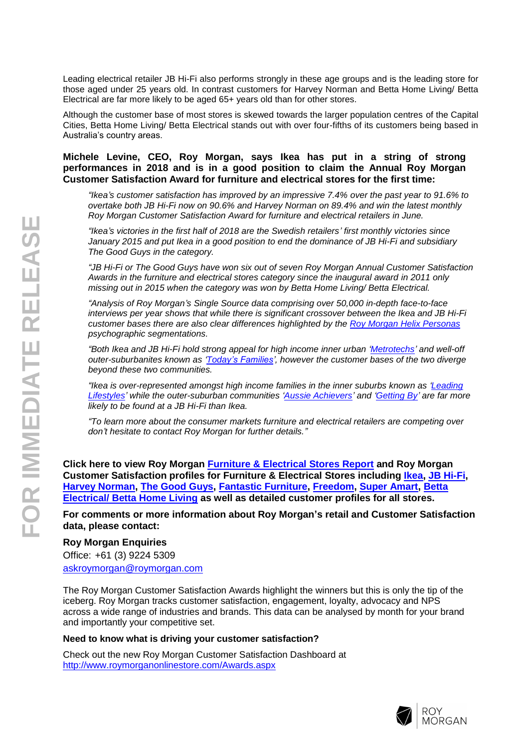Leading electrical retailer JB Hi-Fi also performs strongly in these age groups and is the leading store for those aged under 25 years old. In contrast customers for Harvey Norman and Betta Home Living/ Betta Electrical are far more likely to be aged 65+ years old than for other stores.

Although the customer base of most stores is skewed towards the larger population centres of the Capital Cities, Betta Home Living/ Betta Electrical stands out with over four-fifths of its customers being based in Australia's country areas.

#### **Michele Levine, CEO, Roy Morgan, says Ikea has put in a string of strong performances in 2018 and is in a good position to claim the Annual Roy Morgan Customer Satisfaction Award for furniture and electrical stores for the first time:**

*"Ikea's customer satisfaction has improved by an impressive 7.4% over the past year to 91.6% to overtake both JB Hi-Fi now on 90.6% and Harvey Norman on 89.4% and win the latest monthly Roy Morgan Customer Satisfaction Award for furniture and electrical retailers in June.*

*"Ikea's victories in the first half of 2018 are the Swedish retailers' first monthly victories since January 2015 and put Ikea in a good position to end the dominance of JB Hi-Fi and subsidiary The Good Guys in the category.*

*"JB Hi-Fi or The Good Guys have won six out of seven Roy Morgan Annual Customer Satisfaction Awards in the furniture and electrical stores category since the inaugural award in 2011 only missing out in 2015 when the category was won by Betta Home Living/ Betta Electrical.*

*"Analysis of Roy Morgan's Single Source data comprising over 50,000 in-depth face-to-face interviews per year shows that while there is significant crossover between the Ikea and JB Hi-Fi customer bases there are also clear differences highlighted by the [Roy Morgan Helix Personas](http://www.helixpersonas.com.au/) psychographic segmentations.*

*"Both Ikea and JB Hi-Fi hold strong appeal for high income inner urban ['Metrotechs'](http://www.helixpersonas.com.au/browse/metrotech) and well-off outer-suburbanites known as ['Today's Families',](http://www.helixpersonas.com.au/browse/todays-families) however the customer bases of the two diverge beyond these two communities.*

*"Ikea is over-represented amongst high income families in the inner suburbs known as ['Leading](http://www.helixpersonas.com.au/browse/leading-lifestyles)  [Lifestyles'](http://www.helixpersonas.com.au/browse/leading-lifestyles) while the outer-suburban communities ['Aussie Achievers'](http://www.helixpersonas.com.au/browse/aussie-achievers) and ['Getting By'](http://www.helixpersonas.com.au/browse/getting-by) are far more likely to be found at a JB Hi-Fi than Ikea.*

*"To learn more about the consumer markets furniture and electrical retailers are competing over don't hesitate to contact Roy Morgan for further details."*

**Click here to view Roy Morgan [Furniture & Electrical Stores Report](http://www.roymorganonlinestore.com/Browse/Australia/Retail/Furniture-Electrical-Stores/Furniture-Electrical-Store-Satisfaction/Customer-Satisfaction-Furniture-and-Electrical.aspx) and Roy Morgan Customer Satisfaction profiles for Furniture & Electrical Stores including [Ikea,](http://www.roymorganonlinestore.com/Browse/Australia/Retail/Furniture-Electrical-Stores/Furniture--Electrical-Store-Satisfaction/Ikea-Satisfied-Customer-Profile.aspx) [JB Hi-Fi,](http://www.roymorganonlinestore.com/Browse/Australia/Retail/Music-Book-Stores/Music--Book-Store-Satisfaction/JB-Hi-Fi-Satisfied-Customer-Profile.aspx) [Harvey Norman,](http://www.roymorganonlinestore.com/Browse/Australia/Retail/Furniture-Electrical-Stores/Furniture--Electrical-Store-Satisfaction/Harvey-Norman-Satisfied-Customer-Profile.aspx) [The Good Guys,](http://www.roymorganonlinestore.com/Browse/Australia/Retail/Furniture-Electrical-Stores/Furniture--Electrical-Store-Satisfaction/The-Good-Guys-Satisfied-Customer-Profile.aspx) [Fantastic Furniture,](http://www.roymorganonlinestore.com/Browse/Australia/Retail/Furniture-Electrical-Stores/Furniture--Electrical-Store-Satisfaction/Fantastic-Furniture-Satisfied-Customer-Profile.aspx) [Freedom,](http://www.roymorganonlinestore.com/Browse/Australia/Retail/Furniture-Electrical-Stores/Furniture--Electrical-Store-Satisfaction/Freedom-Satisfied-Customer-Profile.aspx) [Super Amart,](http://www.roymorganonlinestore.com/Browse/Australia/Retail/Furniture-Electrical-Stores/Furniture--Electrical-Store-Satisfaction/Super-Amart-Satisfied-Customer-Profile.aspx) [Betta](http://www.roymorganonlinestore.com/Browse/Australia/Retail/Furniture-Electrical-Stores/Furniture--Electrical-Store-Satisfaction/Betta-Electrical-Satisfied-Customer-Profile.aspx)  [Electrical/ Betta Home Living](http://www.roymorganonlinestore.com/Browse/Australia/Retail/Furniture-Electrical-Stores/Furniture--Electrical-Store-Satisfaction/Betta-Electrical-Satisfied-Customer-Profile.aspx) as well as detailed customer profiles for all stores.**

**For comments or more information about Roy Morgan's retail and Customer Satisfaction data, please contact:**

#### **Roy Morgan Enquiries**

Office: +61 (3) 9224 5309 [askroymorgan@roymorgan.com](mailto:askroymorgan@roymorgan.com)

The Roy Morgan Customer Satisfaction Awards highlight the winners but this is only the tip of the iceberg. Roy Morgan tracks customer satisfaction, engagement, loyalty, advocacy and NPS across a wide range of industries and brands. This data can be analysed by month for your brand and importantly your competitive set.

#### **Need to know what is driving your customer satisfaction?**

Check out the new Roy Morgan Customer Satisfaction Dashboard at <http://www.roymorganonlinestore.com/Awards.aspx>